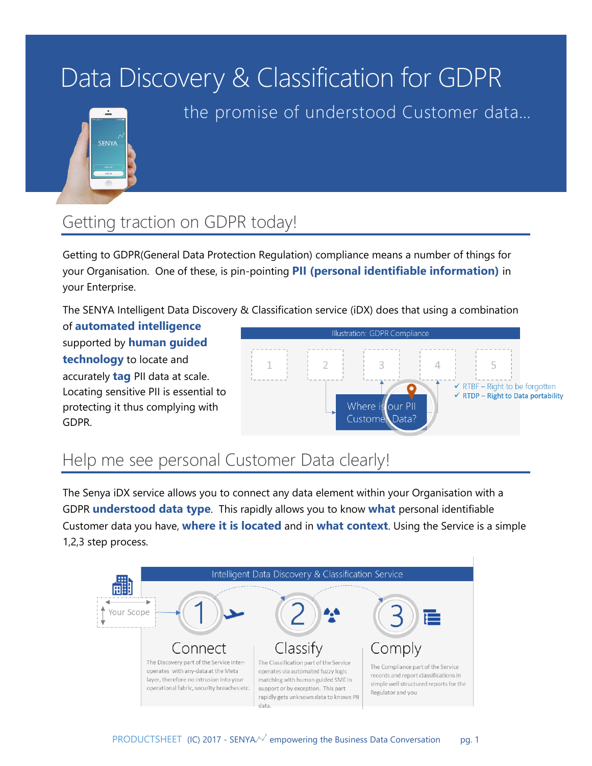# Data Discovery & Classification for GDPR



the promise of understood Customer data…

# Getting traction on GDPR today!

Getting to GDPR(General Data Protection Regulation) compliance means a number of things for your Organisation. One of these, is pin-pointing **PII (personal identifiable information)** in your Enterprise.

The SENYA Intelligent Data Discovery & Classification service (iDX) does that using a combination

of **automated intelligence** supported by **human guided technology** to locate and accurately **tag** PII data at scale. Locating sensitive PII is essential to protecting it thus complying with GDPR.



### Help me see personal Customer Data clearly!

The Senya iDX service allows you to connect any data element within your Organisation with a GDPR **understood data type**. This rapidly allows you to know **what** personal identifiable Customer data you have, **where it is located** and in **what context**. Using the Service is a simple 1,2,3 step process.

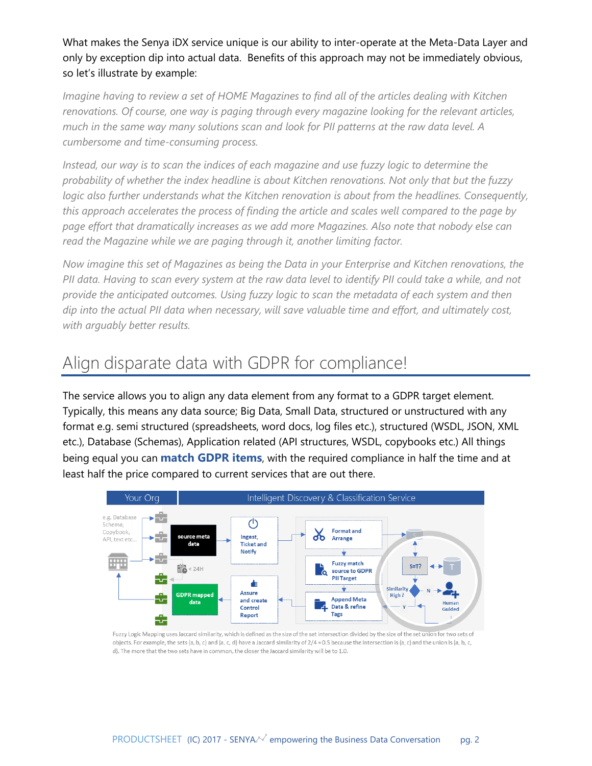What makes the Senya iDX service unique is our ability to inter-operate at the Meta-Data Layer and only by exception dip into actual data. Benefits of this approach may not be immediately obvious, so let's illustrate by example:

*Imagine having to review a set of HOME Magazines to find all of the articles dealing with Kitchen renovations. Of course, one way is paging through every magazine looking for the relevant articles, much in the same way many solutions scan and look for PII patterns at the raw data level. A cumbersome and time-consuming process.*

*Instead, our way is to scan the indices of each magazine and use fuzzy logic to determine the probability of whether the index headline is about Kitchen renovations. Not only that but the fuzzy logic also further understands what the Kitchen renovation is about from the headlines. Consequently, this approach accelerates the process of finding the article and scales well compared to the page by page effort that dramatically increases as we add more Magazines. Also note that nobody else can read the Magazine while we are paging through it, another limiting factor.*

*Now imagine this set of Magazines as being the Data in your Enterprise and Kitchen renovations, the*  PII data. Having to scan every system at the raw data level to identify PII could take a while, and not *provide the anticipated outcomes. Using fuzzy logic to scan the metadata of each system and then dip into the actual PII data when necessary, will save valuable time and effort, and ultimately cost, with arguably better results.*

### Align disparate data with GDPR for compliance!

The service allows you to align any data element from any format to a GDPR target element. Typically, this means any data source; Big Data, Small Data, structured or unstructured with any format e.g. semi structured (spreadsheets, word docs, log files etc.), structured (WSDL, JSON, XML etc.), Database (Schemas), Application related (API structures, WSDL, copybooks etc.) All things being equal you can **match GDPR items**, with the required compliance in half the time and at least half the price compared to current services that are out there.



Fuzzy Logic Mapping uses Jaccard similarity, which is defined as the size of the set intersection divided by the size of the set union for two sets of objects. For example, the sets {a, b, c} and {a, c, d} have a Jaccard similarity of  $2/4 = 0.5$  because the intersection is {a, c} and the union is {a, b, c, d}. The more that the two sets have in common, the closer the Jaccard similarity will be to 1.0.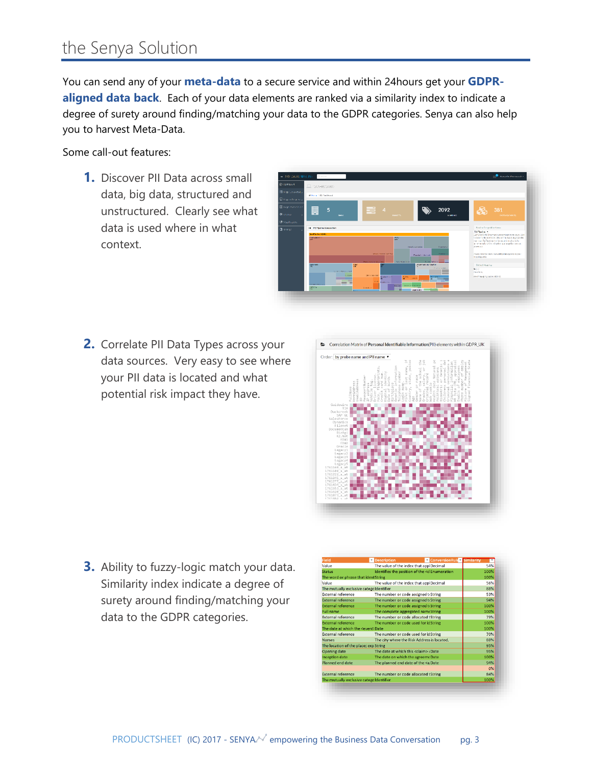### the Senya Solution

You can send any of your **meta-data** to a secure service and within 24hours get your **GDPRaligned data back**. Each of your data elements are ranked via a similarity index to indicate a degree of surety around finding/matching your data to the GDPR categories. Senya can also help you to harvest Meta-Data.

Some call-out features:

**1.** Discover PII Data across small data, big data, structured and unstructured. Clearly see what data is used where in what context.



**2.** Correlate PII Data Types across your data sources. Very easy to see where your PII data is located and what potential risk impact they have.



**3.** Ability to fuzzy-logic match your data. Similarity index indicate a degree of surety around finding/matching your data to the GDPR categories.

| Field                                                                        | <b>Description</b>                                                      | <b>ConversionRule Similarity</b>                                                    |      |  |
|------------------------------------------------------------------------------|-------------------------------------------------------------------------|-------------------------------------------------------------------------------------|------|--|
| Value                                                                        |                                                                         | The value of the index that applDecimal<br>54%                                      |      |  |
| Status                                                                       |                                                                         | Identifies the position of the <clenumeration< td=""><td>100%</td></clenumeration<> | 100% |  |
| The word or phrase that ident String                                         |                                                                         |                                                                                     | 100% |  |
| Value                                                                        |                                                                         | The value of the index that applDecimal                                             | 56%  |  |
| The mutually exclusive categoldentifier                                      |                                                                         |                                                                                     | 88%  |  |
| <b>External reference</b>                                                    | The number or code assigned toString                                    |                                                                                     | 53%  |  |
| <b>External reference</b>                                                    | The number or code assigned toString                                    |                                                                                     | 94%  |  |
| <b>External reference</b>                                                    | The number or code assigned toString                                    |                                                                                     | 100% |  |
| <b>Full name</b>                                                             | The complete aggregated nameString                                      |                                                                                     | 100% |  |
| <b>External reference</b>                                                    | The number or code allocated tString                                    |                                                                                     | 79%  |  |
| <b>External reference</b>                                                    | The number or code used for idString                                    |                                                                                     | 100% |  |
| The date at which the <event: date<="" td=""><td></td><td>100%</td></event:> |                                                                         | 100%                                                                                |      |  |
| <b>External reference</b>                                                    | The number or code used for idString                                    |                                                                                     | 70%  |  |
| <b>Names</b>                                                                 |                                                                         | The city where the Risk Address is located.                                         | 88%  |  |
| The location of the place; exp String                                        |                                                                         |                                                                                     | 95%  |  |
| <b>Opening date</b>                                                          | The date at which this <claim> (Date</claim>                            |                                                                                     | 95%  |  |
| Inception date                                                               | The date on which the agreeme Date                                      |                                                                                     | 100% |  |
| Planned end date                                                             | The planned end date of the <a date<="" td=""><td></td><td>94%</td></a> |                                                                                     | 94%  |  |
|                                                                              |                                                                         |                                                                                     | 0%   |  |
| <b>External reference</b>                                                    | The number or code allocated tString                                    |                                                                                     | 84%  |  |
| The mutually exclusive categoidentifier                                      |                                                                         |                                                                                     | 100% |  |